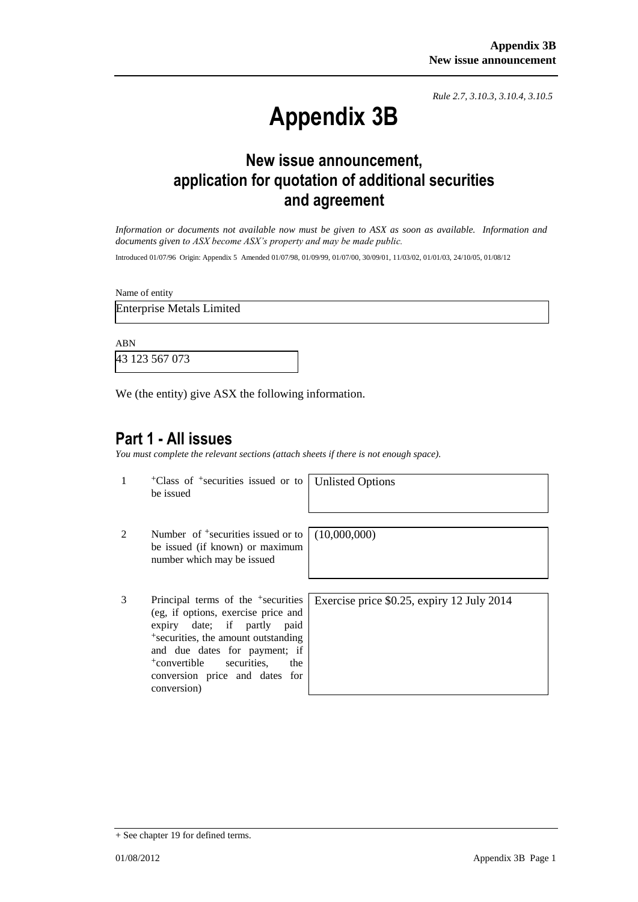*Rule 2.7, 3.10.3, 3.10.4, 3.10.5*

# **Appendix 3B**

## **New issue announcement, application for quotation of additional securities and agreement**

*Information or documents not available now must be given to ASX as soon as available. Information and documents given to ASX become ASX's property and may be made public.*

Introduced 01/07/96 Origin: Appendix 5 Amended 01/07/98, 01/09/99, 01/07/00, 30/09/01, 11/03/02, 01/01/03, 24/10/05, 01/08/12

Name of entity

Enterprise Metals Limited

ABN

43 123 567 073

We (the entity) give ASX the following information.

#### **Part 1 - All issues**

*You must complete the relevant sections (attach sheets if there is not enough space).*

1 +Class of +securities issued or to be issued

Unlisted Options

- 2 Number of <sup>+</sup>securities issued or to be issued (if known) or maximum number which may be issued
- 3 Principal terms of the +securities (eg, if options, exercise price and expiry date; if partly paid +securities, the amount outstanding and due dates for payment; if +convertible securities, the conversion price and dates for conversion)

(10,000,000)

Exercise price \$0.25, expiry 12 July 2014

<sup>+</sup> See chapter 19 for defined terms.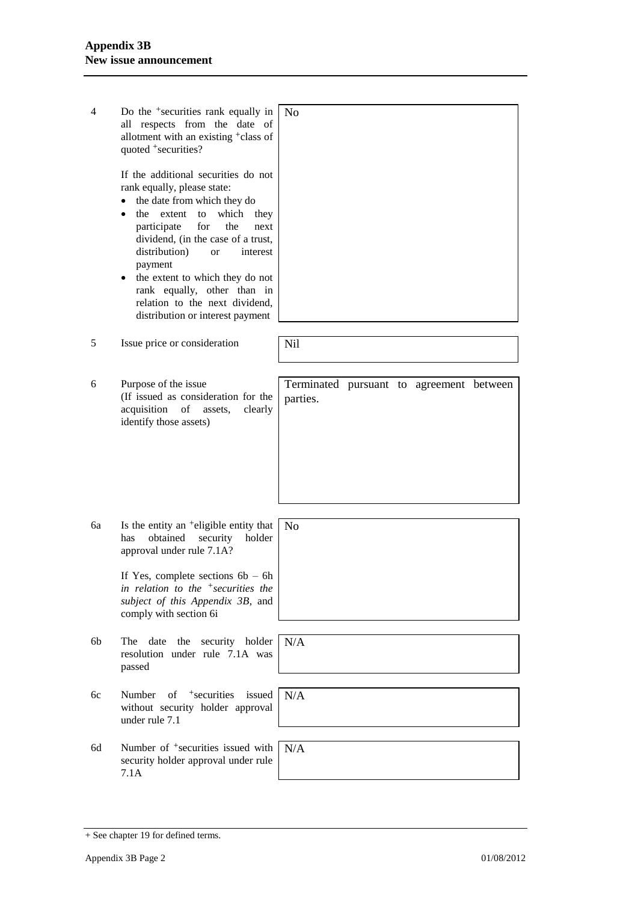| 4  | Do the <sup>+</sup> securities rank equally in<br>respects from the date of<br>all<br>allotment with an existing <sup>+</sup> class of<br>quoted +securities?<br>If the additional securities do not                                                                                                                                                                       | N <sub>0</sub>                                       |
|----|----------------------------------------------------------------------------------------------------------------------------------------------------------------------------------------------------------------------------------------------------------------------------------------------------------------------------------------------------------------------------|------------------------------------------------------|
|    | rank equally, please state:<br>the date from which they do<br>the<br>extent<br>to<br>which<br>they<br>for<br>participate<br>the<br>next<br>dividend, (in the case of a trust,<br>distribution)<br>interest<br><b>or</b><br>payment<br>the extent to which they do not<br>rank equally, other than in<br>relation to the next dividend,<br>distribution or interest payment |                                                      |
| 5  | Issue price or consideration                                                                                                                                                                                                                                                                                                                                               | Nil                                                  |
| 6  | Purpose of the issue<br>(If issued as consideration for the<br>acquisition<br>of<br>clearly<br>assets,<br>identify those assets)                                                                                                                                                                                                                                           | Terminated pursuant to agreement between<br>parties. |
| 6a | Is the entity an <sup>+</sup> eligible entity that<br>obtained<br>has<br>security<br>holder<br>approval under rule 7.1A?<br>If Yes, complete sections $6b - 6h$<br>in relation to the $+$ securities the                                                                                                                                                                   | No                                                   |
|    | subject of this Appendix 3B, and<br>comply with section 6i                                                                                                                                                                                                                                                                                                                 |                                                      |
| 6b | The date<br>the security holder<br>resolution under rule 7.1A was<br>passed                                                                                                                                                                                                                                                                                                | N/A                                                  |
| 6c | of <sup>+</sup> securities<br>issued<br>Number<br>without security holder approval<br>under rule 7.1                                                                                                                                                                                                                                                                       | N/A                                                  |
| 6d | Number of <sup>+</sup> securities issued with<br>security holder approval under rule<br>7.1A                                                                                                                                                                                                                                                                               | N/A                                                  |

<sup>+</sup> See chapter 19 for defined terms.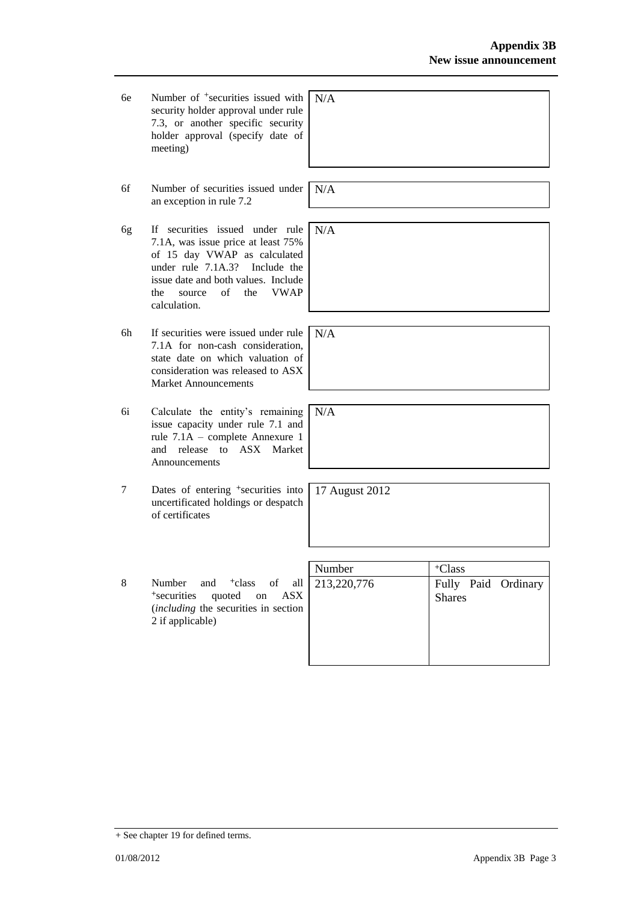- 6e Number of +securities issued with security holder approval under rule 7.3, or another specific security holder approval (specify date of meeting) N/A
- 6f Number of securities issued under an exception in rule 7.2
- 6g If securities issued under rule 7.1A, was issue price at least 75% of 15 day VWAP as calculated under rule 7.1A.3? Include the issue date and both values. Include the source of the VWAP calculation.
- 6h If securities were issued under rule 7.1A for non-cash consideration, state date on which valuation of consideration was released to ASX Market Announcements
- 6i Calculate the entity's remaining issue capacity under rule 7.1 and rule 7.1A – complete Annexure 1 and release to ASX Market Announcements
- 7 Dates of entering <sup>+</sup>securities into uncertificated holdings or despatch of certificates
- 8 Number and <sup>+</sup>class of all <sup>+</sup>securities quoted on ASX (*including* the securities in section 2 if applicable)

| Number      | <sup>+</sup> Class                   |
|-------------|--------------------------------------|
| 213,220,776 | Fully Paid Ordinary<br><b>Shares</b> |

N/A

N/A

N/A

N/A

17 August 2012

+ See chapter 19 for defined terms.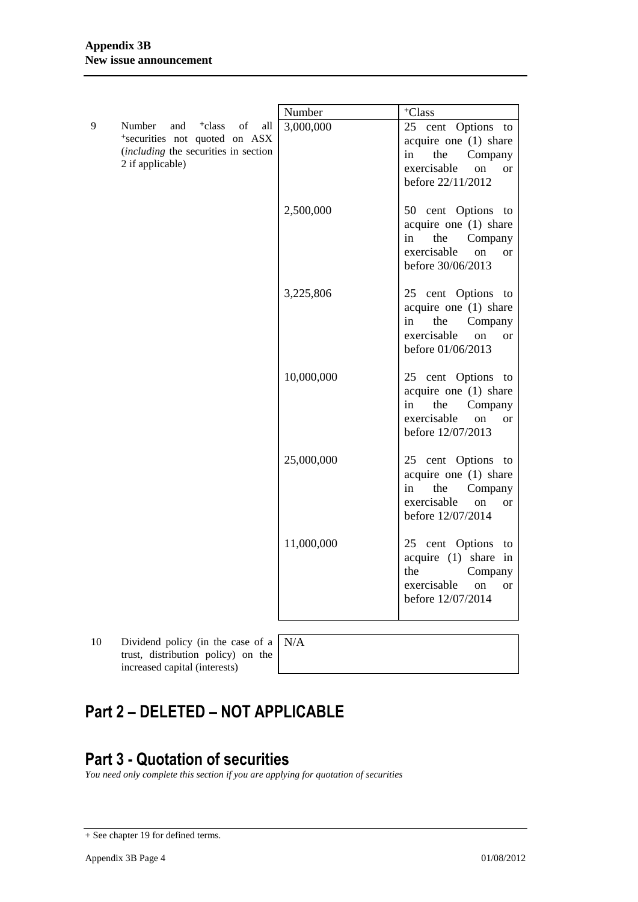|   |                                                                                                                                               | Number     | <sup>+</sup> Class                                                                                                                        |
|---|-----------------------------------------------------------------------------------------------------------------------------------------------|------------|-------------------------------------------------------------------------------------------------------------------------------------------|
| 9 | <sup>+</sup> class<br>Number<br>and<br>of<br>all<br>*securities not quoted on ASX<br>(including the securities in section<br>2 if applicable) | 3,000,000  | 25 cent Options to<br>acquire one (1) share<br>the<br>Company<br>in<br>exercisable<br>on<br><sub>or</sub><br>before 22/11/2012            |
|   |                                                                                                                                               | 2,500,000  | 50 cent Options to<br>acquire one (1) share<br>the<br>Company<br>in<br>exercisable<br>on<br><b>or</b><br>before 30/06/2013                |
|   |                                                                                                                                               | 3,225,806  | 25 cent Options to<br>acquire one (1) share<br>the<br>Company<br>in<br>exercisable<br>on<br><b>or</b><br>before 01/06/2013                |
|   |                                                                                                                                               | 10,000,000 | 25 cent Options to<br>acquire one (1) share<br>the<br>Company<br>in<br>exercisable<br><sub>on</sub><br><sub>or</sub><br>before 12/07/2013 |
|   |                                                                                                                                               | 25,000,000 | 25 cent Options to<br>acquire one (1) share<br>the<br>Company<br>in<br>exercisable<br><sub>on</sub><br><sub>or</sub><br>before 12/07/2014 |
|   |                                                                                                                                               | 11,000,000 | 25 cent Options<br>to<br>acquire (1) share in<br>the<br>Company<br>exercisable<br><sub>on</sub><br><sub>or</sub><br>before 12/07/2014     |

- 10 Dividend policy (in the case of a trust, distribution policy) on the increased capital (interests)
- N/A

# **Part 2 – DELETED – NOT APPLICABLE**

## **Part 3 - Quotation of securities**

*You need only complete this section if you are applying for quotation of securities*

<sup>+</sup> See chapter 19 for defined terms.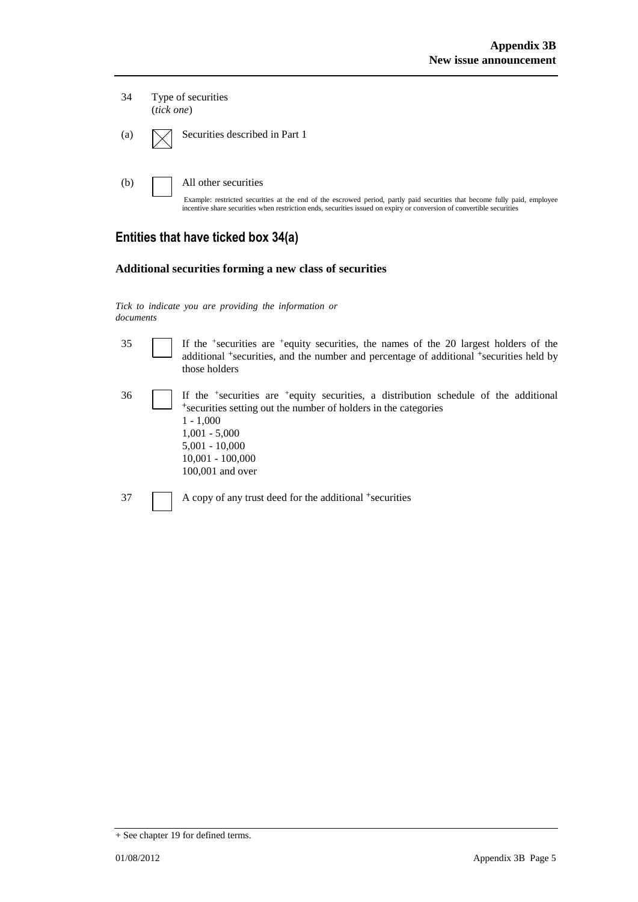| 34  | Type of securities<br>(tick one)                                                                                                                                                                                                                                           |  |
|-----|----------------------------------------------------------------------------------------------------------------------------------------------------------------------------------------------------------------------------------------------------------------------------|--|
| (a) | Securities described in Part 1                                                                                                                                                                                                                                             |  |
| (b) | All other securities<br>Example: restricted securities at the end of the escrowed period, partly paid securities that become fully paid, employee<br>incentive share securities when restriction ends, securities issued on expiry or conversion of convertible securities |  |

### **Entities that have ticked box 34(a)**

#### **Additional securities forming a new class of securities**

*Tick to indicate you are providing the information or documents*

35 If the <sup>+</sup> securities are <sup>+</sup>equity securities, the names of the 20 largest holders of the additional <sup>+</sup>securities, and the number and percentage of additional <sup>+</sup>securities held by those holders

- 36 If the <sup>+</sup> securities are <sup>+</sup>equity securities, a distribution schedule of the additional <sup>+</sup>securities setting out the number of holders in the categories 1 - 1,000 1,001 - 5,000 5,001 - 10,000 10,001 - 100,000 100,001 and over
- 37 A copy of any trust deed for the additional +securities

<sup>+</sup> See chapter 19 for defined terms.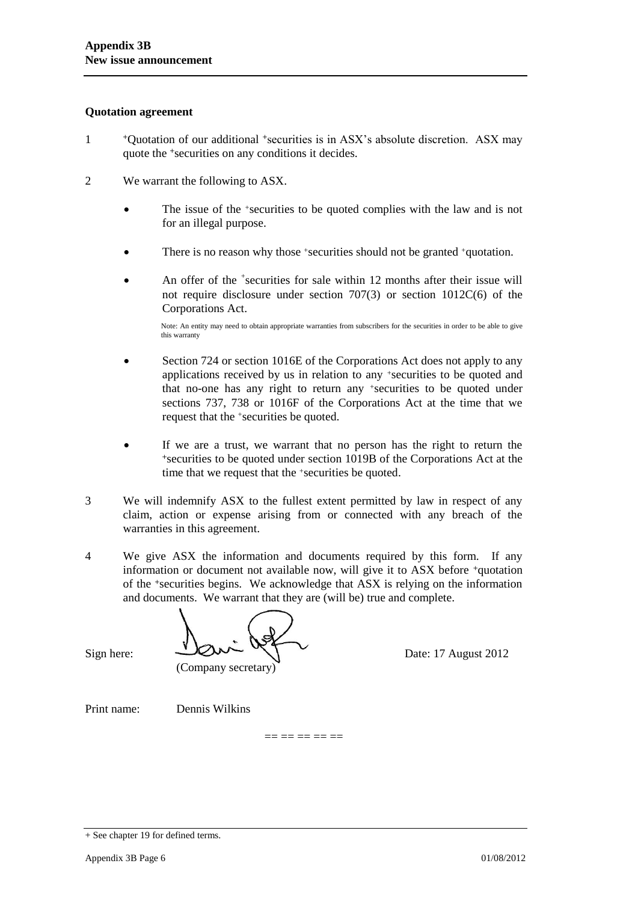#### **Quotation agreement**

- 1 <sup>+</sup>Quotation of our additional +securities is in ASX's absolute discretion. ASX may quote the +securities on any conditions it decides.
- 2 We warrant the following to ASX.
	- The issue of the +securities to be quoted complies with the law and is not for an illegal purpose.
	- There is no reason why those +securities should not be granted +quotation.
	- An offer of the <sup>+</sup>securities for sale within 12 months after their issue will not require disclosure under section 707(3) or section 1012C(6) of the Corporations Act.

Note: An entity may need to obtain appropriate warranties from subscribers for the securities in order to be able to give this warranty

- Section 724 or section 1016E of the Corporations Act does not apply to any applications received by us in relation to any +securities to be quoted and that no-one has any right to return any +securities to be quoted under sections 737, 738 or 1016F of the Corporations Act at the time that we request that the +securities be quoted.
- If we are a trust, we warrant that no person has the right to return the <sup>+</sup>securities to be quoted under section 1019B of the Corporations Act at the time that we request that the +securities be quoted.
- 3 We will indemnify ASX to the fullest extent permitted by law in respect of any claim, action or expense arising from or connected with any breach of the warranties in this agreement.
- 4 We give ASX the information and documents required by this form. If any information or document not available now, will give it to ASX before +quotation of the +securities begins. We acknowledge that ASX is relying on the information and documents. We warrant that they are (will be) true and complete.

 $Sign here:$   $Date: 17 August 2012$ (Company secretary)

Print name: Dennis Wilkins

== == == == ==

<sup>+</sup> See chapter 19 for defined terms.